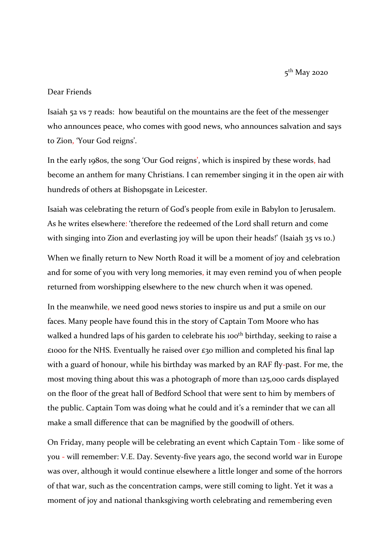5<sup>th</sup> May 2020

## Dear Friends

Isaiah 52 vs 7 reads: how beautiful on the mountains are the feet of the messenger who announces peace, who comes with good news, who announces salvation and says to Zion, 'Your God reigns'.

In the early 1980s, the song 'Our God reigns', which is inspired by these words, had become an anthem for many Christians. I can remember singing it in the open air with hundreds of others at Bishopsgate in Leicester.

Isaiah was celebrating the return of God's people from exile in Babylon to Jerusalem. As he writes elsewhere: 'therefore the redeemed of the Lord shall return and come with singing into Zion and everlasting joy will be upon their heads!' (Isaiah 35 vs 10.)

When we finally return to New North Road it will be a moment of joy and celebration and for some of you with very long memories, it may even remind you of when people returned from worshipping elsewhere to the new church when it was opened.

In the meanwhile, we need good news stories to inspire us and put a smile on our faces. Many people have found this in the story of Captain Tom Moore who has walked a hundred laps of his garden to celebrate his 100<sup>th</sup> birthday, seeking to raise a £1000 for the NHS. Eventually he raised over £30 million and completed his final lap with a guard of honour, while his birthday was marked by an RAF fly-past. For me, the most moving thing about this was a photograph of more than 125,000 cards displayed on the floor of the great hall of Bedford School that were sent to him by members of the public. Captain Tom was doing what he could and it's a reminder that we can all make a small difference that can be magnified by the goodwill of others.

On Friday, many people will be celebrating an event which Captain Tom - like some of you - will remember: V.E. Day. Seventy-five years ago, the second world war in Europe was over, although it would continue elsewhere a little longer and some of the horrors of that war, such as the concentration camps, were still coming to light. Yet it was a moment of joy and national thanksgiving worth celebrating and remembering even